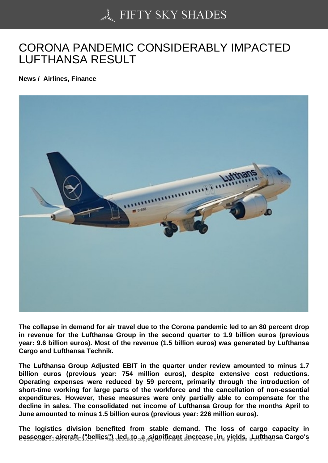# [CORONA PANDEMIC](https://50skyshades.com) CONSIDERABLY IMPACTED LUFTHANSA RESULT

News / Airlines, Finance

The collapse in demand for air travel due to the Corona pandemic led to an 80 percent drop in revenue for the Lufthansa Group in the second quarter to 1.9 billion euros (previous year: 9.6 billion euros). Most of the revenue (1.5 billion euros) was generated by Lufthansa Cargo and Lufthansa Technik.

The Lufthansa Group Adjusted EBIT in the quarter under review amounted to minus 1.7 billion euros (previous year: 754 million euros), despite extensive cost reductions. Operating expenses were reduced by 59 percent, primarily through the introduction of short-time working for large parts of the workforce and the cancellation of non-essential expenditures. However, these measures were only partially able to compensate for the decline in sales. The consolidated net income of Lufthansa Group for the months April to June amounted to minus 1.5 billion euros (previous year: 226 million euros).

The logistics division benefited from stable demand. The loss of cargo capacity in  $p$ assenger aircraft  $\epsilon$  bellies") aled to a significant increase in yields. Lufthansa Cargo's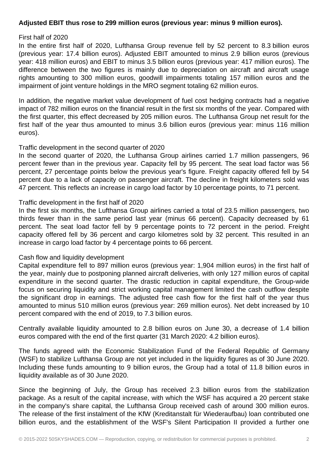# **Adjusted EBIT thus rose to 299 million euros (previous year: minus 9 million euros).**

#### First half of 2020

In the entire first half of 2020, Lufthansa Group revenue fell by 52 percent to 8.3 billion euros (previous year: 17.4 billion euros). Adjusted EBIT amounted to minus 2.9 billion euros (previous year: 418 million euros) and EBIT to minus 3.5 billion euros (previous year: 417 million euros). The difference between the two figures is mainly due to depreciation on aircraft and aircraft usage rights amounting to 300 million euros, goodwill impairments totaling 157 million euros and the impairment of joint venture holdings in the MRO segment totaling 62 million euros.

In addition, the negative market value development of fuel cost hedging contracts had a negative impact of 782 million euros on the financial result in the first six months of the year. Compared with the first quarter, this effect decreased by 205 million euros. The Lufthansa Group net result for the first half of the year thus amounted to minus 3.6 billion euros (previous year: minus 116 million euros).

#### Traffic development in the second quarter of 2020

In the second quarter of 2020, the Lufthansa Group airlines carried 1.7 million passengers, 96 percent fewer than in the previous year. Capacity fell by 95 percent. The seat load factor was 56 percent, 27 percentage points below the previous year's figure. Freight capacity offered fell by 54 percent due to a lack of capacity on passenger aircraft. The decline in freight kilometers sold was 47 percent. This reflects an increase in cargo load factor by 10 percentage points, to 71 percent.

#### Traffic development in the first half of 2020

In the first six months, the Lufthansa Group airlines carried a total of 23.5 million passengers, two thirds fewer than in the same period last year (minus 66 percent). Capacity decreased by 61 percent. The seat load factor fell by 9 percentage points to 72 percent in the period. Freight capacity offered fell by 36 percent and cargo kilometres sold by 32 percent. This resulted in an increase in cargo load factor by 4 percentage points to 66 percent.

## Cash flow and liquidity development

Capital expenditure fell to 897 million euros (previous year: 1,904 million euros) in the first half of the year, mainly due to postponing planned aircraft deliveries, with only 127 million euros of capital expenditure in the second quarter. The drastic reduction in capital expenditure, the Group-wide focus on securing liquidity and strict working capital management limited the cash outflow despite the significant drop in earnings. The adjusted free cash flow for the first half of the year thus amounted to minus 510 million euros (previous year: 269 million euros). Net debt increased by 10 percent compared with the end of 2019, to 7.3 billion euros.

Centrally available liquidity amounted to 2.8 billion euros on June 30, a decrease of 1.4 billion euros compared with the end of the first quarter (31 March 2020: 4.2 billion euros).

The funds agreed with the Economic Stabilization Fund of the Federal Republic of Germany (WSF) to stabilize Lufthansa Group are not yet included in the liquidity figures as of 30 June 2020. Including these funds amounting to 9 billion euros, the Group had a total of 11.8 billion euros in liquidity available as of 30 June 2020.

Since the beginning of July, the Group has received 2.3 billion euros from the stabilization package. As a result of the capital increase, with which the WSF has acquired a 20 percent stake in the company's share capital, the Lufthansa Group received cash of around 300 million euros. The release of the first instalment of the KfW (Kreditanstalt für Wiederaufbau) loan contributed one billion euros, and the establishment of the WSF's Silent Participation II provided a further one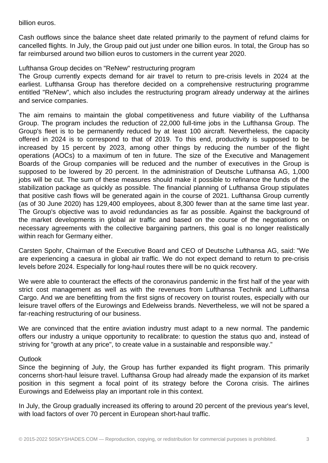billion euros.

Cash outflows since the balance sheet date related primarily to the payment of refund claims for cancelled flights. In July, the Group paid out just under one billion euros. In total, the Group has so far reimbursed around two billion euros to customers in the current year 2020.

Lufthansa Group decides on "ReNew" restructuring program

The Group currently expects demand for air travel to return to pre-crisis levels in 2024 at the earliest. Lufthansa Group has therefore decided on a comprehensive restructuring programme entitled "ReNew", which also includes the restructuring program already underway at the airlines and service companies.

The aim remains to maintain the global competitiveness and future viability of the Lufthansa Group. The program includes the reduction of 22,000 full-time jobs in the Lufthansa Group. The Group's fleet is to be permanently reduced by at least 100 aircraft. Nevertheless, the capacity offered in 2024 is to correspond to that of 2019. To this end, productivity is supposed to be increased by 15 percent by 2023, among other things by reducing the number of the flight operations (AOCs) to a maximum of ten in future. The size of the Executive and Management Boards of the Group companies will be reduced and the number of executives in the Group is supposed to be lowered by 20 percent. In the administration of Deutsche Lufthansa AG, 1,000 jobs will be cut. The sum of these measures should make it possible to refinance the funds of the stabilization package as quickly as possible. The financial planning of Lufthansa Group stipulates that positive cash flows will be generated again in the course of 2021. Lufthansa Group currently (as of 30 June 2020) has 129,400 employees, about 8,300 fewer than at the same time last year. The Group's objective was to avoid redundancies as far as possible. Against the background of the market developments in global air traffic and based on the course of the negotiations on necessary agreements with the collective bargaining partners, this goal is no longer realistically within reach for Germany either.

Carsten Spohr, Chairman of the Executive Board and CEO of Deutsche Lufthansa AG, said: "We are experiencing a caesura in global air traffic. We do not expect demand to return to pre-crisis levels before 2024. Especially for long-haul routes there will be no quick recovery.

We were able to counteract the effects of the coronavirus pandemic in the first half of the year with strict cost management as well as with the revenues from Lufthansa Technik and Lufthansa Cargo. And we are benefitting from the first signs of recovery on tourist routes, especially with our leisure travel offers of the Eurowings and Edelweiss brands. Nevertheless, we will not be spared a far-reaching restructuring of our business.

We are convinced that the entire aviation industry must adapt to a new normal. The pandemic offers our industry a unique opportunity to recalibrate: to question the status quo and, instead of striving for "growth at any price", to create value in a sustainable and responsible way."

## **Outlook**

Since the beginning of July, the Group has further expanded its flight program. This primarily concerns short-haul leisure travel. Lufthansa Group had already made the expansion of its market position in this segment a focal point of its strategy before the Corona crisis. The airlines Eurowings and Edelweiss play an important role in this context.

In July, the Group gradually increased its offering to around 20 percent of the previous year's level, with load factors of over 70 percent in European short-haul traffic.